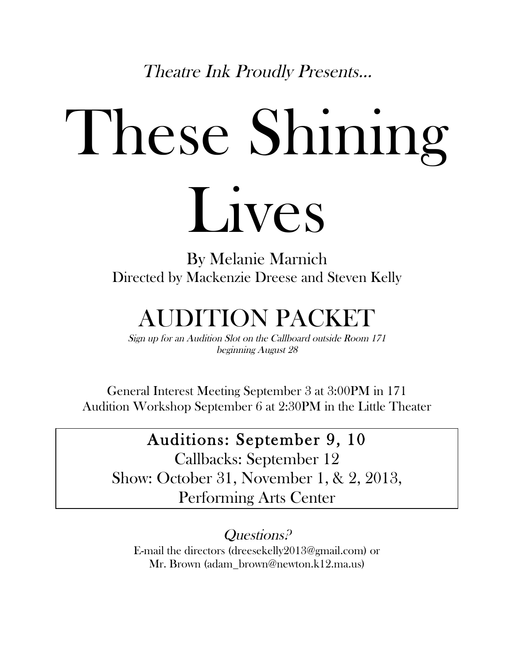Theatre Ink Proudly Presents…

# These Shining Lives

By Melanie Marnich Directed by Mackenzie Dreese and Steven Kelly

## AUDITION PACKET

Sign up for an Audition Slot on the Callboard outside Room 171 beginning August 28

General Interest Meeting September 3 at 3:00PM in 171 Audition Workshop September 6 at 2:30PM in the Little Theater

#### Auditions: September 9, 10

Callbacks: September 12 Show: October 31, November 1, & 2, 2013, Performing Arts Center

Questions? E-mail the directors (dreesekelly2013@gmail.com) or Mr. Brown (adam\_brown@newton.k12.ma.us)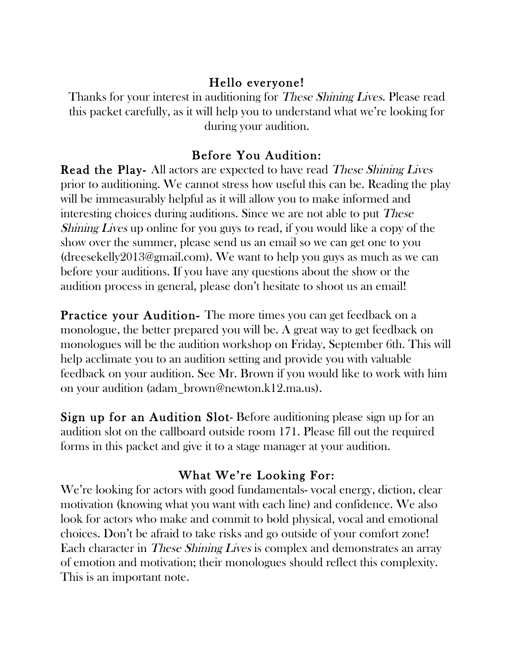#### Hello everyone!

Thanks for your interest in auditioning for *These Shining Lives*. Please read this packet carefully, as it will help you to understand what we're looking for during your audition.

#### Before You Audition:

Read the Play- All actors are expected to have read These Shining Lives prior to auditioning. We cannot stress how useful this can be. Reading the play will be immeasurably helpful as it will allow you to make informed and interesting choices during auditions. Since we are not able to put These Shining Lives up online for you guys to read, if you would like a copy of the show over the summer, please send us an email so we can get one to you (dreesekelly2013@gmail.com). We want to help you guys as much as we can before your auditions. If you have any questions about the show or the audition process in general, please don't hesitate to shoot us an email!

Practice your Audition- The more times you can get feedback on a monologue, the better prepared you will be. A great way to get feedback on monologues will be the audition workshop on Friday, September 6th. This will help acclimate you to an audition setting and provide you with valuable feedback on your audition. See Mr. Brown if you would like to work with him on your audition (adam\_brown@newton.k12.ma.us).

Sign up for an Audition Slot- Before auditioning please sign up for an audition slot on the callboard outside room 171. Please fill out the required forms in this packet and give it to a stage manager at your audition.

#### What We're Looking For:

We're looking for actors with good fundamentals-vocal energy, diction, clear motivation (knowing what you want with each line) and confidence. We also look for actors who make and commit to bold physical, vocal and emotional choices. Don't be afraid to take risks and go outside of your comfort zone! Each character in These Shining Lives is complex and demonstrates an array of emotion and motivation; their monologues should reflect this complexity. This is an important note.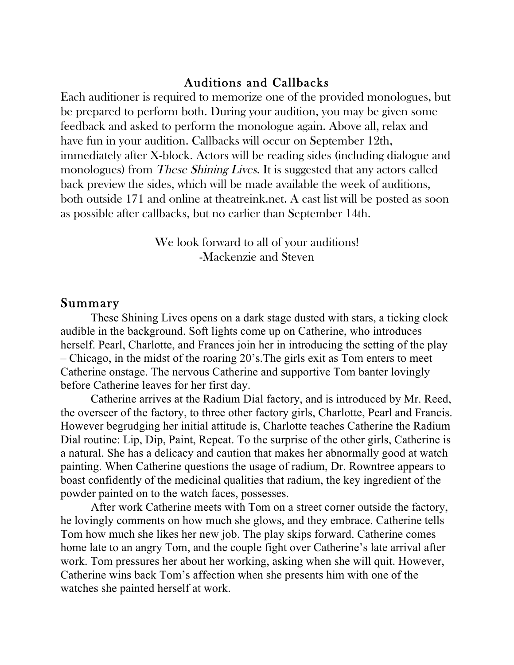#### Auditions and Callbacks

Each auditioner is required to memorize one of the provided monologues, but be prepared to perform both. During your audition, you may be given some feedback and asked to perform the monologue again. Above all, relax and have fun in your audition. Callbacks will occur on September 12th, immediately after X-block. Actors will be reading sides (including dialogue and monologues) from *These Shining Lives*. It is suggested that any actors called back preview the sides, which will be made available the week of auditions, both outside 171 and online at theatreink.net. A cast list will be posted as soon as possible after callbacks, but no earlier than September 14th.

> We look forward to all of your auditions! -Mackenzie and Steven

#### Summary

These Shining Lives opens on a dark stage dusted with stars, a ticking clock audible in the background. Soft lights come up on Catherine, who introduces herself. Pearl, Charlotte, and Frances join her in introducing the setting of the play – Chicago, in the midst of the roaring 20's.The girls exit as Tom enters to meet Catherine onstage. The nervous Catherine and supportive Tom banter lovingly before Catherine leaves for her first day.

Catherine arrives at the Radium Dial factory, and is introduced by Mr. Reed, the overseer of the factory, to three other factory girls, Charlotte, Pearl and Francis. However begrudging her initial attitude is, Charlotte teaches Catherine the Radium Dial routine: Lip, Dip, Paint, Repeat. To the surprise of the other girls, Catherine is a natural. She has a delicacy and caution that makes her abnormally good at watch painting. When Catherine questions the usage of radium, Dr. Rowntree appears to boast confidently of the medicinal qualities that radium, the key ingredient of the powder painted on to the watch faces, possesses.

After work Catherine meets with Tom on a street corner outside the factory, he lovingly comments on how much she glows, and they embrace. Catherine tells Tom how much she likes her new job. The play skips forward. Catherine comes home late to an angry Tom, and the couple fight over Catherine's late arrival after work. Tom pressures her about her working, asking when she will quit. However, Catherine wins back Tom's affection when she presents him with one of the watches she painted herself at work.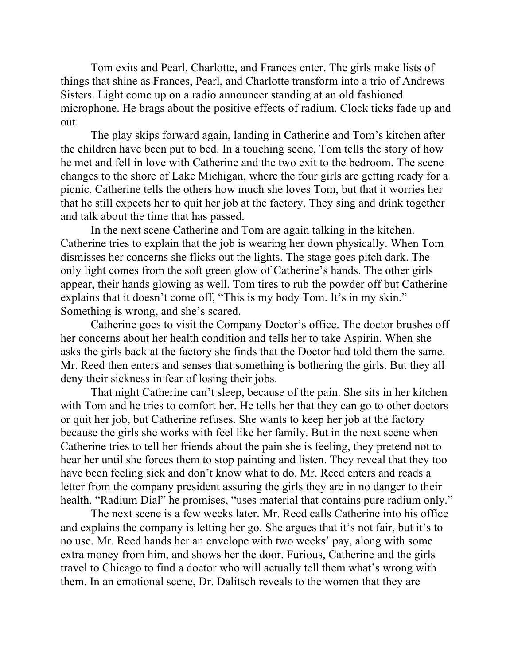Tom exits and Pearl, Charlotte, and Frances enter. The girls make lists of things that shine as Frances, Pearl, and Charlotte transform into a trio of Andrews Sisters. Light come up on a radio announcer standing at an old fashioned microphone. He brags about the positive effects of radium. Clock ticks fade up and out.

The play skips forward again, landing in Catherine and Tom's kitchen after the children have been put to bed. In a touching scene, Tom tells the story of how he met and fell in love with Catherine and the two exit to the bedroom. The scene changes to the shore of Lake Michigan, where the four girls are getting ready for a picnic. Catherine tells the others how much she loves Tom, but that it worries her that he still expects her to quit her job at the factory. They sing and drink together and talk about the time that has passed.

In the next scene Catherine and Tom are again talking in the kitchen. Catherine tries to explain that the job is wearing her down physically. When Tom dismisses her concerns she flicks out the lights. The stage goes pitch dark. The only light comes from the soft green glow of Catherine's hands. The other girls appear, their hands glowing as well. Tom tires to rub the powder off but Catherine explains that it doesn't come off, "This is my body Tom. It's in my skin." Something is wrong, and she's scared.

Catherine goes to visit the Company Doctor's office. The doctor brushes off her concerns about her health condition and tells her to take Aspirin. When she asks the girls back at the factory she finds that the Doctor had told them the same. Mr. Reed then enters and senses that something is bothering the girls. But they all deny their sickness in fear of losing their jobs.

That night Catherine can't sleep, because of the pain. She sits in her kitchen with Tom and he tries to comfort her. He tells her that they can go to other doctors or quit her job, but Catherine refuses. She wants to keep her job at the factory because the girls she works with feel like her family. But in the next scene when Catherine tries to tell her friends about the pain she is feeling, they pretend not to hear her until she forces them to stop painting and listen. They reveal that they too have been feeling sick and don't know what to do. Mr. Reed enters and reads a letter from the company president assuring the girls they are in no danger to their health. "Radium Dial" he promises, "uses material that contains pure radium only."

The next scene is a few weeks later. Mr. Reed calls Catherine into his office and explains the company is letting her go. She argues that it's not fair, but it's to no use. Mr. Reed hands her an envelope with two weeks' pay, along with some extra money from him, and shows her the door. Furious, Catherine and the girls travel to Chicago to find a doctor who will actually tell them what's wrong with them. In an emotional scene, Dr. Dalitsch reveals to the women that they are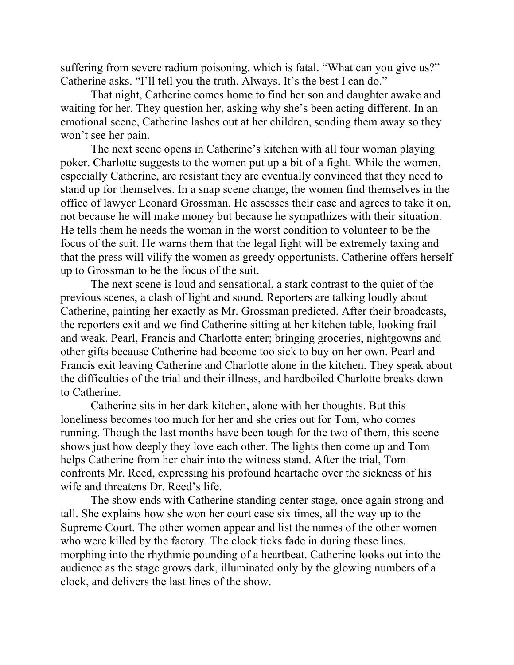suffering from severe radium poisoning, which is fatal. "What can you give us?" Catherine asks. "I'll tell you the truth. Always. It's the best I can do."

That night, Catherine comes home to find her son and daughter awake and waiting for her. They question her, asking why she's been acting different. In an emotional scene, Catherine lashes out at her children, sending them away so they won't see her pain.

The next scene opens in Catherine's kitchen with all four woman playing poker. Charlotte suggests to the women put up a bit of a fight. While the women, especially Catherine, are resistant they are eventually convinced that they need to stand up for themselves. In a snap scene change, the women find themselves in the office of lawyer Leonard Grossman. He assesses their case and agrees to take it on, not because he will make money but because he sympathizes with their situation. He tells them he needs the woman in the worst condition to volunteer to be the focus of the suit. He warns them that the legal fight will be extremely taxing and that the press will vilify the women as greedy opportunists. Catherine offers herself up to Grossman to be the focus of the suit.

The next scene is loud and sensational, a stark contrast to the quiet of the previous scenes, a clash of light and sound. Reporters are talking loudly about Catherine, painting her exactly as Mr. Grossman predicted. After their broadcasts, the reporters exit and we find Catherine sitting at her kitchen table, looking frail and weak. Pearl, Francis and Charlotte enter; bringing groceries, nightgowns and other gifts because Catherine had become too sick to buy on her own. Pearl and Francis exit leaving Catherine and Charlotte alone in the kitchen. They speak about the difficulties of the trial and their illness, and hardboiled Charlotte breaks down to Catherine.

Catherine sits in her dark kitchen, alone with her thoughts. But this loneliness becomes too much for her and she cries out for Tom, who comes running. Though the last months have been tough for the two of them, this scene shows just how deeply they love each other. The lights then come up and Tom helps Catherine from her chair into the witness stand. After the trial, Tom confronts Mr. Reed, expressing his profound heartache over the sickness of his wife and threatens Dr. Reed's life.

The show ends with Catherine standing center stage, once again strong and tall. She explains how she won her court case six times, all the way up to the Supreme Court. The other women appear and list the names of the other women who were killed by the factory. The clock ticks fade in during these lines, morphing into the rhythmic pounding of a heartbeat. Catherine looks out into the audience as the stage grows dark, illuminated only by the glowing numbers of a clock, and delivers the last lines of the show.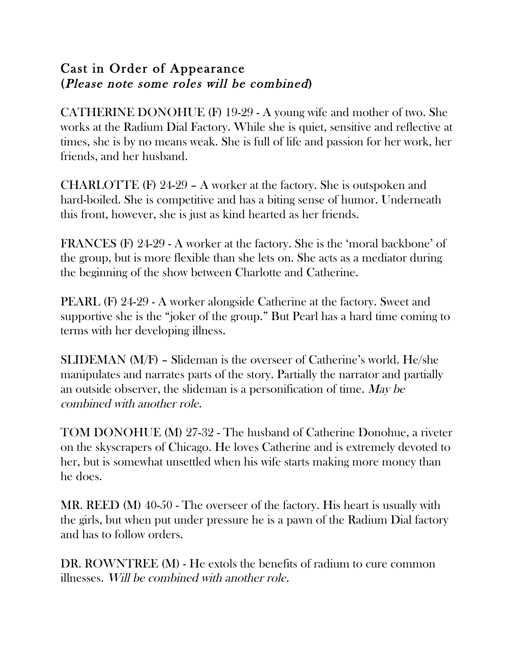#### Cast in Order of Appearance (Please note some roles will be combined)

CATHERINE DONOHUE (F) 19-29 - A young wife and mother of two. She works at the Radium Dial Factory. While she is quiet, sensitive and reflective at times, she is by no means weak. She is full of life and passion for her work, her friends, and her husband.

CHARLOTTE (F) 24-29 – A worker at the factory. She is outspoken and hard-boiled. She is competitive and has a biting sense of humor. Underneath this front, however, she is just as kind hearted as her friends.

FRANCES (F) 24-29 - A worker at the factory. She is the 'moral backbone' of the group, but is more flexible than she lets on. She acts as a mediator during the beginning of the show between Charlotte and Catherine.

PEARL (F) 24-29 - A worker alongside Catherine at the factory. Sweet and supportive she is the "joker of the group." But Pearl has a hard time coming to terms with her developing illness.

SLIDEMAN (M/F) – Slideman is the overseer of Catherine's world. He/she manipulates and narrates parts of the story. Partially the narrator and partially an outside observer, the slideman is a personification of time. May be combined with another role.

TOM DONOHUE (M) 27-32 - The husband of Catherine Donohue, a riveter on the skyscrapers of Chicago. He loves Catherine and is extremely devoted to her, but is somewhat unsettled when his wife starts making more money than he does.

MR. REED (M) 40-50 - The overseer of the factory. His heart is usually with the girls, but when put under pressure he is a pawn of the Radium Dial factory and has to follow orders.

DR. ROWNTREE (M) - He extols the benefits of radium to cure common illnesses. Will be combined with another role.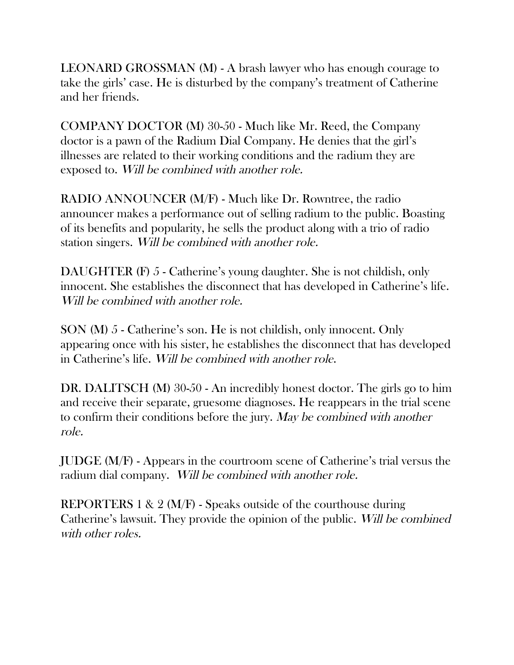LEONARD GROSSMAN (M) - A brash lawyer who has enough courage to take the girls' case. He is disturbed by the company's treatment of Catherine and her friends.

COMPANY DOCTOR (M) 30-50 - Much like Mr. Reed, the Company doctor is a pawn of the Radium Dial Company. He denies that the girl's illnesses are related to their working conditions and the radium they are exposed to. Will be combined with another role.

RADIO ANNOUNCER (M/F) - Much like Dr. Rowntree, the radio announcer makes a performance out of selling radium to the public. Boasting of its benefits and popularity, he sells the product along with a trio of radio station singers. Will be combined with another role.

DAUGHTER (F) 5 - Catherine's young daughter. She is not childish, only innocent. She establishes the disconnect that has developed in Catherine's life. Will be combined with another role.

SON (M) 5 - Catherine's son. He is not childish, only innocent. Only appearing once with his sister, he establishes the disconnect that has developed in Catherine's life. Will be combined with another role.

DR. DALITSCH (M) 30-50 - An incredibly honest doctor. The girls go to him and receive their separate, gruesome diagnoses. He reappears in the trial scene to confirm their conditions before the jury. May be combined with another role.

JUDGE (M/F) - Appears in the courtroom scene of Catherine's trial versus the radium dial company. Will be combined with another role.

REPORTERS 1 & 2 (M/F) - Speaks outside of the courthouse during Catherine's lawsuit. They provide the opinion of the public. Will be combined with other roles.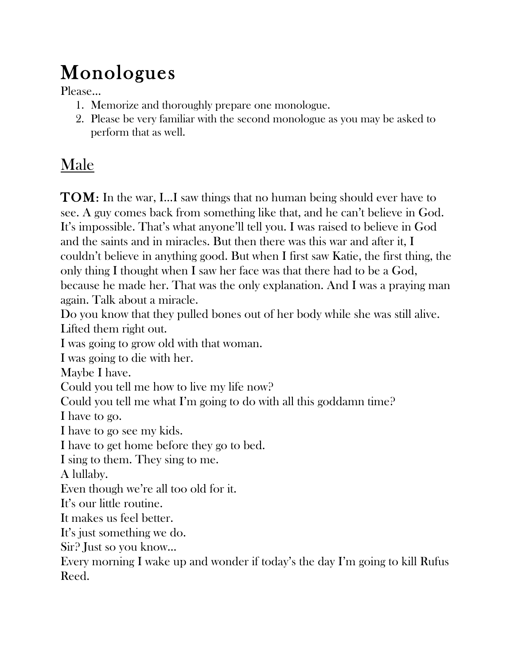# Monologues

- 1. Memorize and thoroughly prepare one monologue.
- 2. Please be very familiar with the second monologue as you may be asked to perform that as well.

### Male

TOM: In the war, I…I saw things that no human being should ever have to see. A guy comes back from something like that, and he can't believe in God. It's impossible. That's what anyone'll tell you. I was raised to believe in God and the saints and in miracles. But then there was this war and after it, I couldn't believe in anything good. But when I first saw Katie, the first thing, the only thing I thought when I saw her face was that there had to be a God, because he made her. That was the only explanation. And I was a praying man again. Talk about a miracle.

Do you know that they pulled bones out of her body while she was still alive. Lifted them right out.

I was going to grow old with that woman.

I was going to die with her.

Maybe I have.

Could you tell me how to live my life now?

Could you tell me what I'm going to do with all this goddamn time?

I have to go.

I have to go see my kids.

I have to get home before they go to bed.

I sing to them. They sing to me.

A lullaby.

Even though we're all too old for it.

It's our little routine.

It makes us feel better.

It's just something we do.

Sir? Just so you know…

Every morning I wake up and wonder if today's the day I'm going to kill Rufus Reed.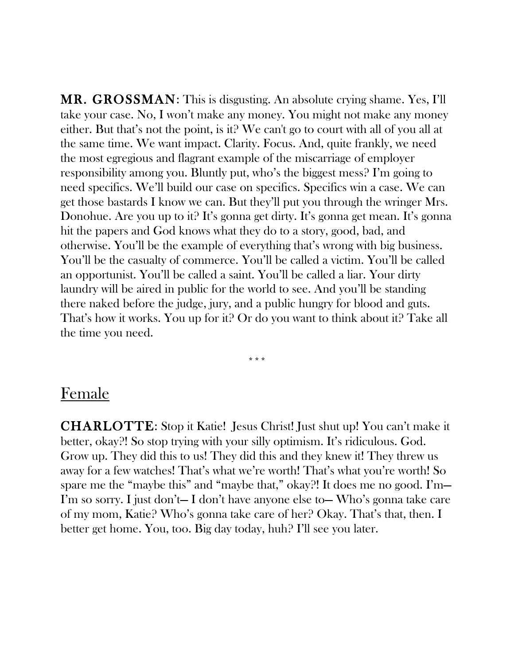MR. GROSSMAN: This is disgusting. An absolute crying shame. Yes, I'll take your case. No, I won't make any money. You might not make any money either. But that's not the point, is it? We can't go to court with all of you all at the same time. We want impact. Clarity. Focus. And, quite frankly, we need the most egregious and flagrant example of the miscarriage of employer responsibility among you. Bluntly put, who's the biggest mess? I'm going to need specifics. We'll build our case on specifics. Specifics win a case. We can get those bastards I know we can. But they'll put you through the wringer Mrs. Donohue. Are you up to it? It's gonna get dirty. It's gonna get mean. It's gonna hit the papers and God knows what they do to a story, good, bad, and otherwise. You'll be the example of everything that's wrong with big business. You'll be the casualty of commerce. You'll be called a victim. You'll be called an opportunist. You'll be called a saint. You'll be called a liar. Your dirty laundry will be aired in public for the world to see. And you'll be standing there naked before the judge, jury, and a public hungry for blood and guts. That's how it works. You up for it? Or do you want to think about it? Take all the time you need.

#### Female

CHARLOTTE: Stop it Katie! Jesus Christ! Just shut up! You can't make it better, okay?! So stop trying with your silly optimism. It's ridiculous. God. Grow up. They did this to us! They did this and they knew it! They threw us away for a few watches! That's what we're worth! That's what you're worth! So spare me the "maybe this" and "maybe that," okay?! It does me no good. I'm— I'm so sorry. I just don't— I don't have anyone else to— Who's gonna take care of my mom, Katie? Who's gonna take care of her? Okay. That's that, then. I better get home. You, too. Big day today, huh? I'll see you later.

\*\*\*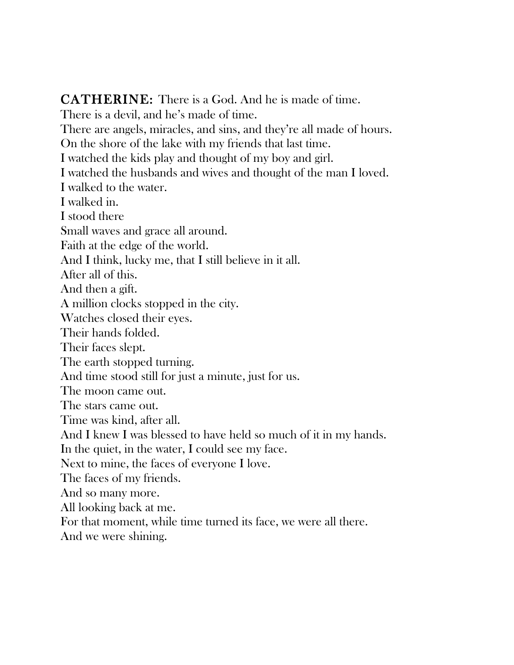CATHERINE: There is a God. And he is made of time. There is a devil, and he's made of time. There are angels, miracles, and sins, and they're all made of hours. On the shore of the lake with my friends that last time. I watched the kids play and thought of my boy and girl. I watched the husbands and wives and thought of the man I loved. I walked to the water. I walked in. I stood there Small waves and grace all around. Faith at the edge of the world. And I think, lucky me, that I still believe in it all. After all of this. And then a gift. A million clocks stopped in the city. Watches closed their eyes. Their hands folded. Their faces slept. The earth stopped turning. And time stood still for just a minute, just for us. The moon came out. The stars came out. Time was kind, after all. And I knew I was blessed to have held so much of it in my hands. In the quiet, in the water, I could see my face. Next to mine, the faces of everyone I love. The faces of my friends. And so many more. All looking back at me. For that moment, while time turned its face, we were all there. And we were shining.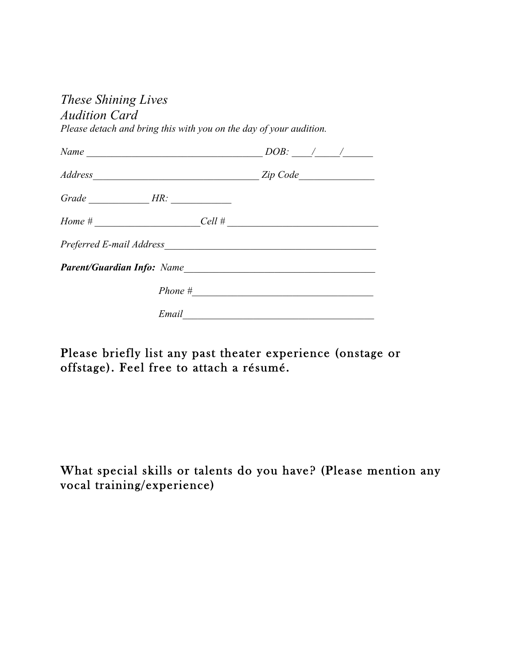#### *These Shining Lives*

#### *Audition Card*

*Please detach and bring this with you on the day of your audition.* 

|                                                                                                                                                                                                                                | $DOB:$ $\angle$ / / |  |
|--------------------------------------------------------------------------------------------------------------------------------------------------------------------------------------------------------------------------------|---------------------|--|
|                                                                                                                                                                                                                                |                     |  |
|                                                                                                                                                                                                                                |                     |  |
| $Home$ #                                                                                                                                                                                                                       | $Cell$ #            |  |
| Preferred E-mail Address Manual According to the Contract of the Contract of the Contract of the Contract of the Contract of the Contract of the Contract of the Contract of the Contract of the Contract of the Contract of t |                     |  |
|                                                                                                                                                                                                                                |                     |  |
|                                                                                                                                                                                                                                | $Phone \#$          |  |
| Email                                                                                                                                                                                                                          |                     |  |

Please briefly list any past theater experience (onstage or offstage). Feel free to attach a résumé.

What special skills or talents do you have? (Please mention any vocal training/experience)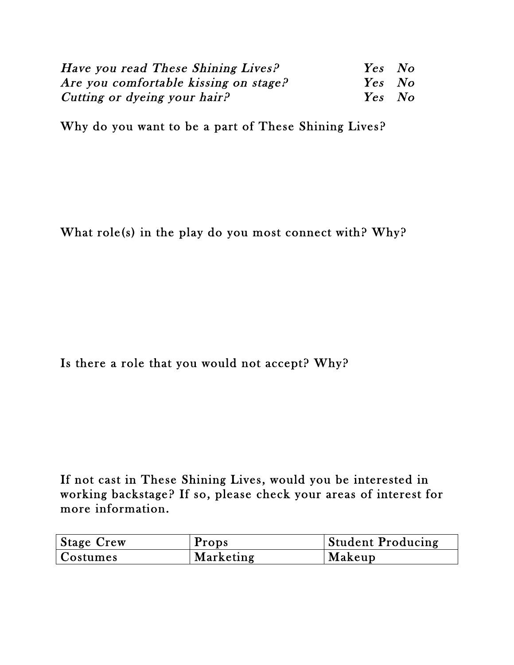| Have you read These Shining Lives?    | Yes No |  |
|---------------------------------------|--------|--|
| Are you comfortable kissing on stage? | Yes No |  |
| Cutting or dyeing your hair?          | Yes No |  |

Why do you want to be a part of These Shining Lives?

What role(s) in the play do you most connect with? Why?

Is there a role that you would not accept? Why?

If not cast in These Shining Lives, would you be interested in working backstage? If so, please check your areas of interest for more information.

| Stage Crew | Props     | <b>Student Producing</b> |
|------------|-----------|--------------------------|
| Costumes   | Marketing | Makeup                   |